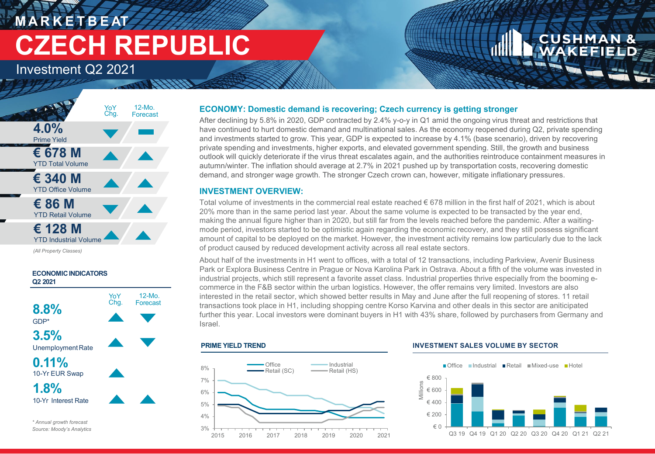## **M A R K E T B E AT CZECH REPUBLIC**

Investment Q2 2021



*(All Property Classes)*



## **ECONOMY: Domestic demand is recovering; Czech currency is getting stronger**

After declining by 5.8% in 2020, GDP contracted by 2.4% y-o-y in Q1 amid the ongoing virus threat and restrictions that have continued to hurt domestic demand and multinational sales. As the economy reopened during Q2, private spending and investments started to grow. This year, GDP is expected to increase by 4.1% (base scenario), driven by recovering private spending and investments, higher exports, and elevated government spending. Still, the growth and business outlook will quickly deteriorate if the virus threat escalates again, and the authorities reintroduce containment measures in autumn/winter. The inflation should average at 2.7% in 2021 pushed up by transportation costs, recovering domestic demand, and stronger wage growth. The stronger Czech crown can, however, mitigate inflationary pressures.

## **INVESTMENT OVERVIEW:**

Total volume of investments in the commercial real estate reached € 678 million in the first half of 2021, which is about 20% more than in the same period last year. About the same volume is expected to be transacted by the year end, making the annual figure higher than in 2020, but still far from the levels reached before the pandemic. After a waitingmode period, investors started to be optimistic again regarding the economic recovery, and they still possess significant amount of capital to be deployed on the market. However, the investment activity remains low particularly due to the lack of product caused by reduced development activity across all real estate sectors.

About half of the investments in H1 went to offices, with a total of 12 transactions, including Parkview, Avenir Business Park or Explora Business Centre in Prague or Nova Karolina Park in Ostrava. About a fifth of the volume was invested in industrial projects, which still represent a favorite asset class. Industrial properties thrive especially from the booming ecommerce in the F&B sector within the urban logistics. However, the offer remains very limited. Investors are also interested in the retail sector, which showed better results in May and June after the full reopening of stores. 11 retail transactions took place in H1, including shopping centre Korso Karvina and other deals in this sector are aniticipated further this year. Local investors were dominant buyers in H1 with 43% share, followed by purchasers from Germany and Israel.

#### **PRIME YIELD TREND**



#### **INVESTMENT SALES VOLUME BY SECTOR**